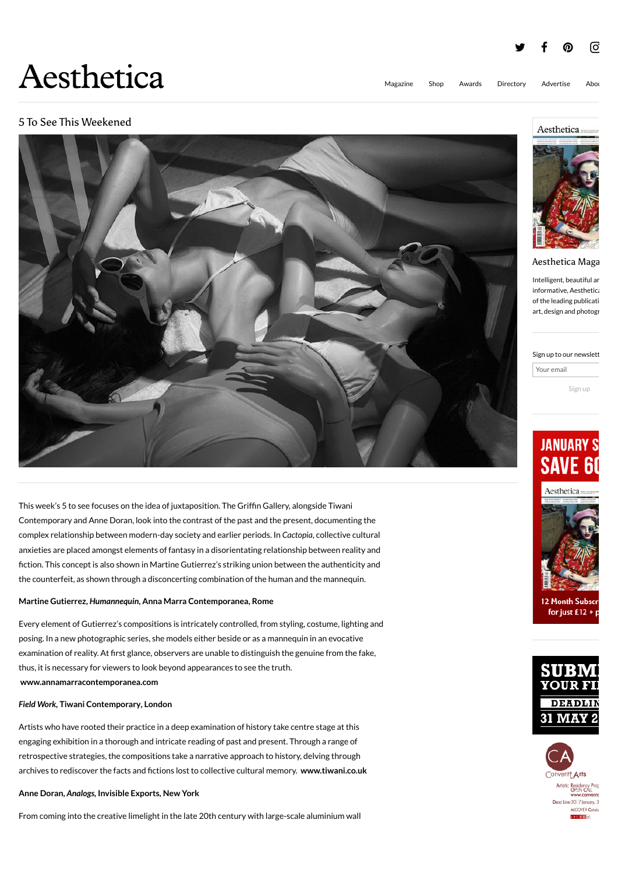

# 5 To See This Weekened



This week's 5 to see focuses on the idea of juxtaposition. The Griffin Gallery, alongside Tiwani Contemporary and Anne Doran, look into the contrast of the past and the present, documenting the complex relationship between modern-day society and earlier periods. In *Cactopia*, collective cultural anxieties are placed amongst elements of fantasy in a disorientating relationship between reality and fiction. This concept is also shown in Martine Gutierrez's striking union between the authenticity and the counterfeit, as shown through a disconcerting combination of the human and the mannequin.

#### **Martine Gutierrez,** *Humannequin***, Anna Marra Contemporanea, Rome**

Every element of Gutierrez's compositions is intricately controlled, from styling, costume, lighting and posing. In a new photographic series, she models either beside or as a mannequin in an evocative examination of reality. At first glance, observers are unable to distinguish the genuine from the fake, thus, it is necessary for viewers to look beyond appearances to see the truth. **[www.annamarracontemporanea.com](http://www.annamarracontemporanea.com/)**

#### *Field Work,* **Tiwani Contemporary***,* **London**

Artists who have rooted their practice in a deep examination of history take centre stage at this engaging exhibition in a thorough and intricate reading of past and present. Through a range of retrospective strategies, the compositions take a narrative approach to history, delving through archives to rediscover the facts and fictions lost to collective cultural memory. **[www.tiwani.co.uk](http://www.tiwani.co.uk/exhibitions/upcoming/)**

#### **Anne Doran,** *Analogs,* **Invisible Exports***,* **New York**

From coming into the creative limelight in the late 20th century with large-scale aluminium wall



#### Aesthetica Maga

Intelligent, beautiful an informative, Aesthetica of the leading publication art, design and photogr

Sign up to our newslett

Your email

Sign up